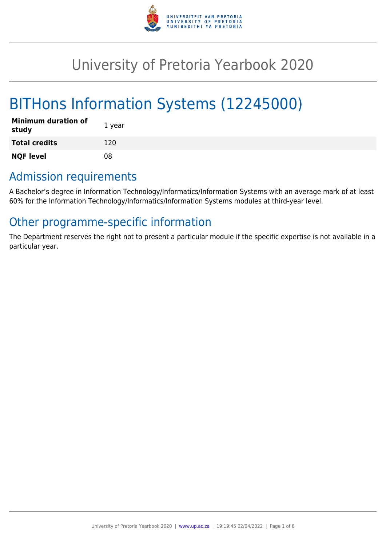

# University of Pretoria Yearbook 2020

# BITHons Information Systems (12245000)

| <b>Minimum duration of</b><br>study | 1 year |
|-------------------------------------|--------|
| <b>Total credits</b>                | 120    |
| <b>NQF level</b>                    | 08     |

### Admission requirements

A Bachelor's degree in Information Technology/Informatics/Information Systems with an average mark of at least 60% for the Information Technology/Informatics/Information Systems modules at third-year level.

## Other programme-specific information

The Department reserves the right not to present a particular module if the specific expertise is not available in a particular year.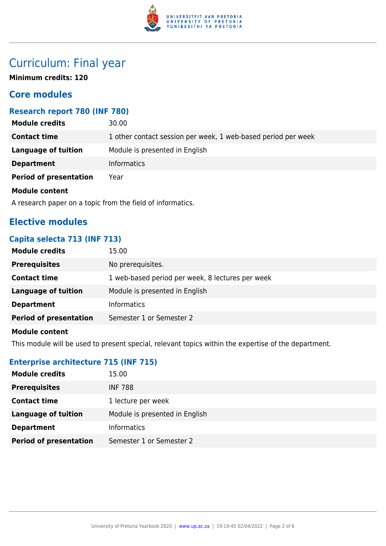

## Curriculum: Final year

**Minimum credits: 120**

### **Core modules**

#### **Research report 780 (INF 780)**

| <b>Module credits</b>         | 30.00                                                         |
|-------------------------------|---------------------------------------------------------------|
| <b>Contact time</b>           | 1 other contact session per week, 1 web-based period per week |
| Language of tuition           | Module is presented in English                                |
| <b>Department</b>             | <b>Informatics</b>                                            |
| <b>Period of presentation</b> | Year                                                          |
| <b>Module content</b>         |                                                               |

A research paper on a topic from the field of informatics.

### **Elective modules**

#### **Capita selecta 713 (INF 713)**

| <b>Module credits</b>         | 15.00                                            |
|-------------------------------|--------------------------------------------------|
| <b>Prerequisites</b>          | No prerequisites.                                |
| <b>Contact time</b>           | 1 web-based period per week, 8 lectures per week |
| Language of tuition           | Module is presented in English                   |
| <b>Department</b>             | <b>Informatics</b>                               |
| <b>Period of presentation</b> | Semester 1 or Semester 2                         |
|                               |                                                  |

#### **Module content**

This module will be used to present special, relevant topics within the expertise of the department.

#### **Enterprise architecture 715 (INF 715)**

| <b>Module credits</b>         | 15.00                          |
|-------------------------------|--------------------------------|
| <b>Prerequisites</b>          | <b>INF 788</b>                 |
| <b>Contact time</b>           | 1 lecture per week             |
| Language of tuition           | Module is presented in English |
| <b>Department</b>             | <b>Informatics</b>             |
| <b>Period of presentation</b> | Semester 1 or Semester 2       |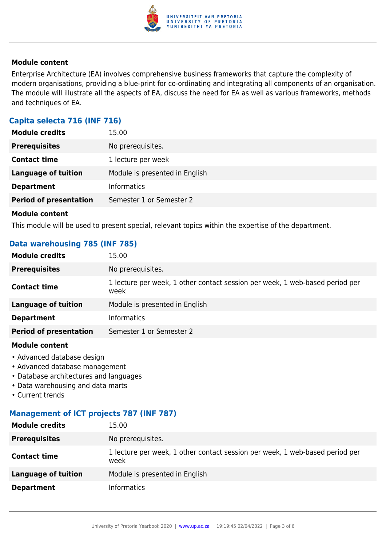

#### **Module content**

Enterprise Architecture (EA) involves comprehensive business frameworks that capture the complexity of modern organisations, providing a blue-print for co-ordinating and integrating all components of an organisation. The module will illustrate all the aspects of EA, discuss the need for EA as well as various frameworks, methods and techniques of EA.

#### **Capita selecta 716 (INF 716)**

| <b>Module credits</b>         | 15.00                          |
|-------------------------------|--------------------------------|
| <b>Prerequisites</b>          | No prerequisites.              |
| <b>Contact time</b>           | 1 lecture per week             |
| <b>Language of tuition</b>    | Module is presented in English |
| <b>Department</b>             | <b>Informatics</b>             |
| <b>Period of presentation</b> | Semester 1 or Semester 2       |
|                               |                                |

#### **Module content**

This module will be used to present special, relevant topics within the expertise of the department.

#### **Data warehousing 785 (INF 785)**

| <b>Module credits</b>         | 15.00                                                                                |
|-------------------------------|--------------------------------------------------------------------------------------|
| <b>Prerequisites</b>          | No prerequisites.                                                                    |
| <b>Contact time</b>           | 1 lecture per week, 1 other contact session per week, 1 web-based period per<br>week |
| <b>Language of tuition</b>    | Module is presented in English                                                       |
| <b>Department</b>             | <b>Informatics</b>                                                                   |
| <b>Period of presentation</b> | Semester 1 or Semester 2                                                             |
|                               |                                                                                      |

#### **Module content**

- Advanced database design
- Advanced database management
- Database architectures and languages
- Data warehousing and data marts
- Current trends

#### **Management of ICT projects 787 (INF 787)**

| <b>Module credits</b> | 15.00                                                                                |
|-----------------------|--------------------------------------------------------------------------------------|
| <b>Prerequisites</b>  | No prerequisites.                                                                    |
| <b>Contact time</b>   | 1 lecture per week, 1 other contact session per week, 1 web-based period per<br>week |
| Language of tuition   | Module is presented in English                                                       |
| <b>Department</b>     | <b>Informatics</b>                                                                   |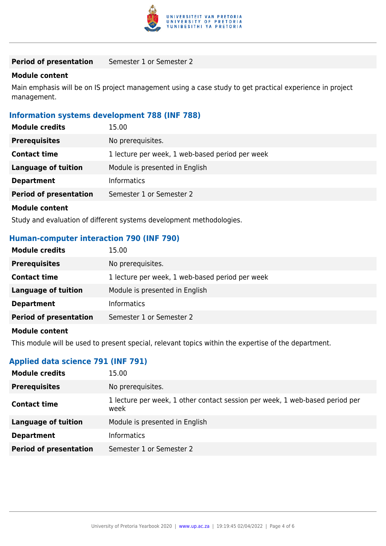

#### **Period of presentation** Semester 1 or Semester 2

#### **Module content**

Main emphasis will be on IS project management using a case study to get practical experience in project management.

#### **Information systems development 788 (INF 788)**

| <b>Module credits</b>         | 15.00                                           |
|-------------------------------|-------------------------------------------------|
| <b>Prerequisites</b>          | No prerequisites.                               |
| <b>Contact time</b>           | 1 lecture per week, 1 web-based period per week |
| Language of tuition           | Module is presented in English                  |
| <b>Department</b>             | Informatics                                     |
| <b>Period of presentation</b> | Semester 1 or Semester 2                        |
| <b>Module content</b>         |                                                 |

Study and evaluation of different systems development methodologies.

#### **Human-computer interaction 790 (INF 790)**

| <b>Module credits</b>             | 15.00                                           |
|-----------------------------------|-------------------------------------------------|
| <b>Prerequisites</b>              | No prerequisites.                               |
| <b>Contact time</b>               | 1 lecture per week, 1 web-based period per week |
| <b>Language of tuition</b>        | Module is presented in English                  |
| <b>Department</b>                 | <b>Informatics</b>                              |
| <b>Period of presentation</b>     | Semester 1 or Semester 2                        |
| اللمتم والمتحدث والمتاريخ المتعار |                                                 |

#### **Module content**

This module will be used to present special, relevant topics within the expertise of the department.

#### **Applied data science 791 (INF 791)**

| <b>Module credits</b>         | 15.00                                                                                |
|-------------------------------|--------------------------------------------------------------------------------------|
| <b>Prerequisites</b>          | No prerequisites.                                                                    |
| <b>Contact time</b>           | 1 lecture per week, 1 other contact session per week, 1 web-based period per<br>week |
| <b>Language of tuition</b>    | Module is presented in English                                                       |
| <b>Department</b>             | <b>Informatics</b>                                                                   |
| <b>Period of presentation</b> | Semester 1 or Semester 2                                                             |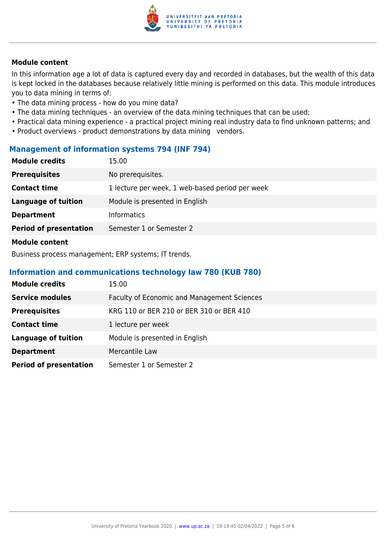

#### **Module content**

In this information age a lot of data is captured every day and recorded in databases, but the wealth of this data is kept locked in the databases because relatively little mining is performed on this data. This module introduces you to data mining in terms of:

- The data mining process how do you mine data?
- The data mining techniques an overview of the data mining techniques that can be used;
- Practical data mining experience a practical project mining real industry data to find unknown patterns; and
- Product overviews product demonstrations by data mining vendors.

#### **Management of information systems 794 (INF 794)**

| <b>Module credits</b>         | 15.00                                           |
|-------------------------------|-------------------------------------------------|
| <b>Prerequisites</b>          | No prerequisites.                               |
| <b>Contact time</b>           | 1 lecture per week, 1 web-based period per week |
| <b>Language of tuition</b>    | Module is presented in English                  |
| <b>Department</b>             | <b>Informatics</b>                              |
| <b>Period of presentation</b> | Semester 1 or Semester 2                        |
| Module content                |                                                 |

Business process management; ERP systems; IT trends.

#### **Information and communications technology law 780 (KUB 780)**

| <b>Module credits</b>         | 15.00                                       |
|-------------------------------|---------------------------------------------|
| <b>Service modules</b>        | Faculty of Economic and Management Sciences |
| <b>Prerequisites</b>          | KRG 110 or BER 210 or BER 310 or BER 410    |
| <b>Contact time</b>           | 1 lecture per week                          |
| <b>Language of tuition</b>    | Module is presented in English              |
| <b>Department</b>             | Mercantile Law                              |
| <b>Period of presentation</b> | Semester 1 or Semester 2                    |